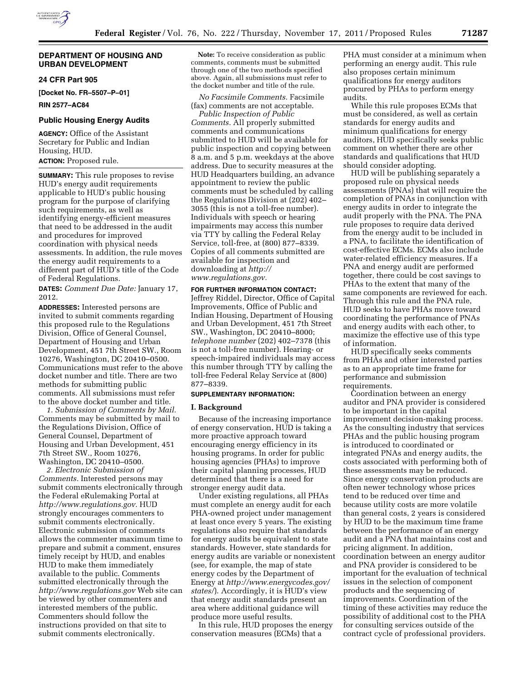

### **DEPARTMENT OF HOUSING AND URBAN DEVELOPMENT**

## **24 CFR Part 905**

**[Docket No. FR–5507–P–01]** 

**RIN 2577–AC84** 

#### **Public Housing Energy Audits**

**AGENCY:** Office of the Assistant Secretary for Public and Indian Housing, HUD. **ACTION:** Proposed rule.

**SUMMARY:** This rule proposes to revise HUD's energy audit requirements applicable to HUD's public housing program for the purpose of clarifying such requirements, as well as identifying energy-efficient measures that need to be addressed in the audit and procedures for improved coordination with physical needs assessments. In addition, the rule moves the energy audit requirements to a different part of HUD's title of the Code of Federal Regulations.

**DATES:** *Comment Due Date:* January 17, 2012.

**ADDRESSES:** Interested persons are invited to submit comments regarding this proposed rule to the Regulations Division, Office of General Counsel, Department of Housing and Urban Development, 451 7th Street SW., Room 10276, Washington, DC 20410–0500. Communications must refer to the above docket number and title. There are two methods for submitting public comments. All submissions must refer to the above docket number and title.

*1. Submission of Comments by Mail.*  Comments may be submitted by mail to the Regulations Division, Office of General Counsel, Department of Housing and Urban Development, 451 7th Street SW., Room 10276, Washington, DC 20410–0500.

*2. Electronic Submission of Comments.* Interested persons may submit comments electronically through the Federal eRulemaking Portal at *[http://www.regulations.gov.](http://www.regulations.gov)* HUD strongly encourages commenters to submit comments electronically. Electronic submission of comments allows the commenter maximum time to prepare and submit a comment, ensures timely receipt by HUD, and enables HUD to make them immediately available to the public. Comments submitted electronically through the *<http://www.regulations.gov>* Web site can be viewed by other commenters and interested members of the public. Commenters should follow the instructions provided on that site to submit comments electronically.

**Note:** To receive consideration as public comments, comments must be submitted through one of the two methods specified above. Again, all submissions must refer to the docket number and title of the rule.

*No Facsimile Comments.* Facsimile (fax) comments are not acceptable.

*Public Inspection of Public Comments.* All properly submitted comments and communications submitted to HUD will be available for public inspection and copying between 8 a.m. and 5 p.m. weekdays at the above address. Due to security measures at the HUD Headquarters building, an advance appointment to review the public comments must be scheduled by calling the Regulations Division at (202) 402– 3055 (this is not a toll-free number). Individuals with speech or hearing impairments may access this number via TTY by calling the Federal Relay Service, toll-free, at (800) 877–8339. Copies of all comments submitted are available for inspection and downloading at *[http://](http://www.regulations.gov) [www.regulations.gov.](http://www.regulations.gov)* 

**FOR FURTHER INFORMATION CONTACT:**  Jeffrey Riddel, Director, Office of Capital Improvements, Office of Public and Indian Housing, Department of Housing and Urban Development, 451 7th Street SW., Washington, DC 20410–8000; *telephone number* (202) 402–7378 (this is not a toll-free number). Hearing- or speech-impaired individuals may access this number through TTY by calling the toll-free Federal Relay Service at (800) 877–8339.

#### **SUPPLEMENTARY INFORMATION:**

#### **I. Background**

Because of the increasing importance of energy conservation, HUD is taking a more proactive approach toward encouraging energy efficiency in its housing programs. In order for public housing agencies (PHAs) to improve their capital planning processes, HUD determined that there is a need for stronger energy audit data.

Under existing regulations, all PHAs must complete an energy audit for each PHA-owned project under management at least once every 5 years. The existing regulations also require that standards for energy audits be equivalent to state standards. However, state standards for energy audits are variable or nonexistent (see, for example, the map of state energy codes by the Department of Energy at *[http://www.energycodes.gov/](http://www.energycodes.gov/states/) [states/](http://www.energycodes.gov/states/)*). Accordingly, it is HUD's view that energy audit standards present an area where additional guidance will produce more useful results.

In this rule, HUD proposes the energy conservation measures (ECMs) that a

PHA must consider at a minimum when performing an energy audit. This rule also proposes certain minimum qualifications for energy auditors procured by PHAs to perform energy audits.

While this rule proposes ECMs that must be considered, as well as certain standards for energy audits and minimum qualifications for energy auditors, HUD specifically seeks public comment on whether there are other standards and qualifications that HUD should consider adopting.

HUD will be publishing separately a proposed rule on physical needs assessments (PNAs) that will require the completion of PNAs in conjunction with energy audits in order to integrate the audit properly with the PNA. The PNA rule proposes to require data derived from the energy audit to be included in a PNA, to facilitate the identification of cost-effective ECMs. ECMs also include water-related efficiency measures. If a PNA and energy audit are performed together, there could be cost savings to PHAs to the extent that many of the same components are reviewed for each. Through this rule and the PNA rule, HUD seeks to have PHAs move toward coordinating the performance of PNAs and energy audits with each other, to maximize the effective use of this type of information.

HUD specifically seeks comments from PHAs and other interested parties as to an appropriate time frame for performance and submission requirements.

Coordination between an energy auditor and PNA provider is considered to be important in the capital improvement decision-making process. As the consulting industry that services PHAs and the public housing program is introduced to coordinated or integrated PNAs and energy audits, the costs associated with performing both of these assessments may be reduced. Since energy conservation products are often newer technology whose prices tend to be reduced over time and because utility costs are more volatile than general costs, 2 years is considered by HUD to be the maximum time frame between the performance of an energy audit and a PNA that maintains cost and pricing alignment. In addition, coordination between an energy auditor and PNA provider is considered to be important for the evaluation of technical issues in the selection of component products and the sequencing of improvements. Coordination of the timing of these activities may reduce the possibility of additional cost to the PHA for consulting services outside of the contract cycle of professional providers.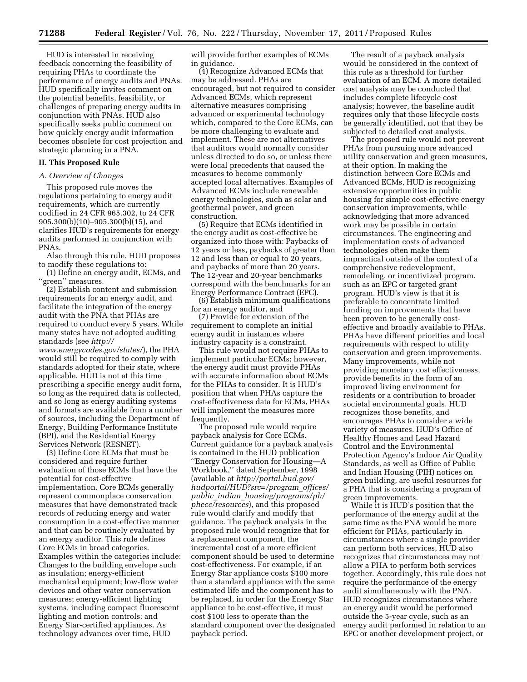HUD is interested in receiving feedback concerning the feasibility of requiring PHAs to coordinate the performance of energy audits and PNAs. HUD specifically invites comment on the potential benefits, feasibility, or challenges of preparing energy audits in conjunction with PNAs. HUD also specifically seeks public comment on how quickly energy audit information becomes obsolete for cost projection and strategic planning in a PNA.

## **II. This Proposed Rule**

#### *A. Overview of Changes*

This proposed rule moves the regulations pertaining to energy audit requirements, which are currently codified in 24 CFR 965.302, to 24 CFR 905.300(b)(10)–905.300(b)(15), and clarifies HUD's requirements for energy audits performed in conjunction with PNAs.

Also through this rule, HUD proposes to modify these regulations to:

(1) Define an energy audit, ECMs, and ''green'' measures.

(2) Establish content and submission requirements for an energy audit, and facilitate the integration of the energy audit with the PNA that PHAs are required to conduct every 5 years. While many states have not adopted auditing standards (see *[http://](http://www.energycodes.gov/states/) [www.energycodes.gov/states/](http://www.energycodes.gov/states/)*), the PHA would still be required to comply with standards adopted for their state, where applicable. HUD is not at this time prescribing a specific energy audit form, so long as the required data is collected, and so long as energy auditing systems and formats are available from a number of sources, including the Department of Energy, Building Performance Institute (BPI), and the Residential Energy Services Network (RESNET).

(3) Define Core ECMs that must be considered and require further evaluation of those ECMs that have the potential for cost-effective implementation. Core ECMs generally represent commonplace conservation measures that have demonstrated track records of reducing energy and water consumption in a cost-effective manner and that can be routinely evaluated by an energy auditor. This rule defines Core ECMs in broad categories. Examples within the categories include: Changes to the building envelope such as insulation; energy-efficient mechanical equipment; low-flow water devices and other water conservation measures; energy-efficient lighting systems, including compact fluorescent lighting and motion controls; and Energy Star-certified appliances. As technology advances over time, HUD

will provide further examples of ECMs in guidance.

(4) Recognize Advanced ECMs that may be addressed. PHAs are encouraged, but not required to consider Advanced ECMs, which represent alternative measures comprising advanced or experimental technology which, compared to the Core ECMs, can be more challenging to evaluate and implement. These are not alternatives that auditors would normally consider unless directed to do so, or unless there were local precedents that caused the measures to become commonly accepted local alternatives. Examples of Advanced ECMs include renewable energy technologies, such as solar and geothermal power, and green construction.

(5) Require that ECMs identified in the energy audit as cost-effective be organized into those with: Paybacks of 12 years or less, paybacks of greater than 12 and less than or equal to 20 years, and paybacks of more than 20 years. The 12-year and 20-year benchmarks correspond with the benchmarks for an Energy Performance Contract (EPC).

(6) Establish minimum qualifications for an energy auditor, and

(7) Provide for extension of the requirement to complete an initial energy audit in instances where industry capacity is a constraint.

This rule would not require PHAs to implement particular ECMs; however, the energy audit must provide PHAs with accurate information about ECMs for the PHAs to consider. It is HUD's position that when PHAs capture the cost-effectiveness data for ECMs, PHAs will implement the measures more frequently.

The proposed rule would require payback analysis for Core ECMs. Current guidance for a payback analysis is contained in the HUD publication ''Energy Conservation for Housing—A Workbook,'' dated September, 1998 (available at *[http://portal.hud.gov/](http://portal.hud.gov/hudportal/HUD?src=/program_offices/public_indian_housing/programs/ph/phecc/resources)  [hudportal/HUD?src=/program](http://portal.hud.gov/hudportal/HUD?src=/program_offices/public_indian_housing/programs/ph/phecc/resources)*\_*offices/ public*\_*indian*\_*[housing/programs/ph/](http://portal.hud.gov/hudportal/HUD?src=/program_offices/public_indian_housing/programs/ph/phecc/resources)  [phecc/resources](http://portal.hud.gov/hudportal/HUD?src=/program_offices/public_indian_housing/programs/ph/phecc/resources)*), and this proposed rule would clarify and modify that guidance. The payback analysis in the proposed rule would recognize that for a replacement component, the incremental cost of a more efficient component should be used to determine cost-effectiveness. For example, if an Energy Star appliance costs \$100 more than a standard appliance with the same estimated life and the component has to be replaced, in order for the Energy Star appliance to be cost-effective, it must cost \$100 less to operate than the standard component over the designated payback period.

The result of a payback analysis would be considered in the context of this rule as a threshold for further evaluation of an ECM. A more detailed cost analysis may be conducted that includes complete lifecycle cost analysis; however, the baseline audit requires only that those lifecycle costs be generally identified, not that they be subjected to detailed cost analysis.

The proposed rule would not prevent PHAs from pursuing more advanced utility conservation and green measures, at their option. In making the distinction between Core ECMs and Advanced ECMs, HUD is recognizing extensive opportunities in public housing for simple cost-effective energy conservation improvements, while acknowledging that more advanced work may be possible in certain circumstances. The engineering and implementation costs of advanced technologies often make them impractical outside of the context of a comprehensive redevelopment, remodeling, or incentivized program, such as an EPC or targeted grant program. HUD's view is that it is preferable to concentrate limited funding on improvements that have been proven to be generally costeffective and broadly available to PHAs. PHAs have different priorities and local requirements with respect to utility conservation and green improvements. Many improvements, while not providing monetary cost effectiveness, provide benefits in the form of an improved living environment for residents or a contribution to broader societal environmental goals. HUD recognizes those benefits, and encourages PHAs to consider a wide variety of measures. HUD's Office of Healthy Homes and Lead Hazard Control and the Environmental Protection Agency's Indoor Air Quality Standards, as well as Office of Public and Indian Housing (PIH) notices on green building, are useful resources for a PHA that is considering a program of green improvements.

While it is HUD's position that the performance of the energy audit at the same time as the PNA would be more efficient for PHAs, particularly in circumstances where a single provider can perform both services, HUD also recognizes that circumstances may not allow a PHA to perform both services together. Accordingly, this rule does not require the performance of the energy audit simultaneously with the PNA. HUD recognizes circumstances where an energy audit would be performed outside the 5-year cycle, such as an energy audit performed in relation to an EPC or another development project, or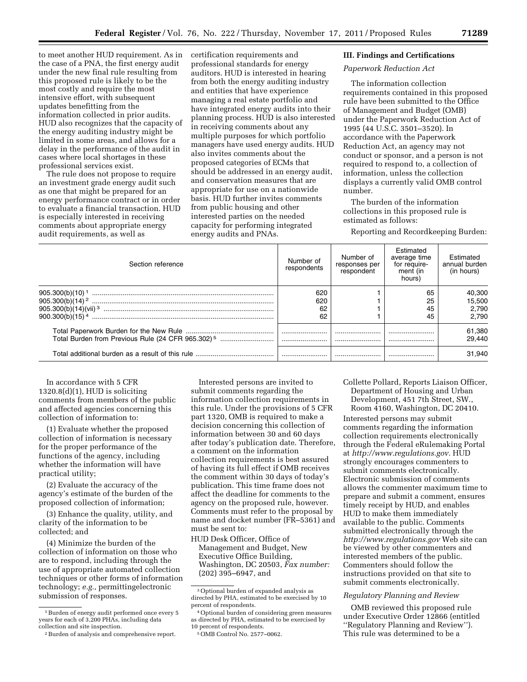to meet another HUD requirement. As in the case of a PNA, the first energy audit under the new final rule resulting from this proposed rule is likely to be the most costly and require the most intensive effort, with subsequent updates benefitting from the information collected in prior audits. HUD also recognizes that the capacity of the energy auditing industry might be limited in some areas, and allows for a delay in the performance of the audit in cases where local shortages in these professional services exist.

The rule does not propose to require an investment grade energy audit such as one that might be prepared for an energy performance contract or in order to evaluate a financial transaction. HUD is especially interested in receiving comments about appropriate energy audit requirements, as well as

certification requirements and professional standards for energy auditors. HUD is interested in hearing from both the energy auditing industry and entities that have experience managing a real estate portfolio and have integrated energy audits into their planning process. HUD is also interested in receiving comments about any multiple purposes for which portfolio managers have used energy audits. HUD also invites comments about the proposed categories of ECMs that should be addressed in an energy audit, and conservation measures that are appropriate for use on a nationwide basis. HUD further invites comments from public housing and other interested parties on the needed capacity for performing integrated energy audits and PNAs.

#### **III. Findings and Certifications**

#### *Paperwork Reduction Act*

The information collection requirements contained in this proposed rule have been submitted to the Office of Management and Budget (OMB) under the Paperwork Reduction Act of 1995 (44 U.S.C. 3501–3520). In accordance with the Paperwork Reduction Act, an agency may not conduct or sponsor, and a person is not required to respond to, a collection of information, unless the collection displays a currently valid OMB control number.

The burden of the information collections in this proposed rule is estimated as follows:

Reporting and Recordkeeping Burden:

| Section reference                                             | Number of<br>respondents | Number of<br>responses per<br>respondent | <b>Fstimated</b><br>average time<br>for require-<br>ment (in<br>hours) | Estimated<br>annual burden<br>(in hours) |
|---------------------------------------------------------------|--------------------------|------------------------------------------|------------------------------------------------------------------------|------------------------------------------|
| $905.300(b)(10)^{1}$                                          | 620<br>620<br>62         |                                          | 65<br>25<br>45                                                         | 40.300<br>15.500<br>2.790                |
| $900.300(b)(15)^4$                                            | 62                       |                                          | 45                                                                     | 2.790                                    |
| Total Burden from Previous Rule (24 CFR 965.302) <sup>5</sup> |                          | <br>                                     |                                                                        | 61,380<br>29.440                         |
| Total additional burden as a result of this rule              |                          |                                          |                                                                        | 31.940                                   |

In accordance with 5 CFR  $1320.8(d)(1)$ , HUD is soliciting comments from members of the public and affected agencies concerning this collection of information to:

(1) Evaluate whether the proposed collection of information is necessary for the proper performance of the functions of the agency, including whether the information will have practical utility;

(2) Evaluate the accuracy of the agency's estimate of the burden of the proposed collection of information;

(3) Enhance the quality, utility, and clarity of the information to be collected; and

(4) Minimize the burden of the collection of information on those who are to respond, including through the use of appropriate automated collection techniques or other forms of information technology; *e.g.,* permittingelectronic submission of responses.

Interested persons are invited to submit comments regarding the information collection requirements in this rule. Under the provisions of 5 CFR part 1320, OMB is required to make a decision concerning this collection of information between 30 and 60 days after today's publication date. Therefore, a comment on the information collection requirements is best assured of having its full effect if OMB receives the comment within 30 days of today's publication. This time frame does not affect the deadline for comments to the agency on the proposed rule, however. Comments must refer to the proposal by name and docket number (FR–5361) and must be sent to:

HUD Desk Officer, Office of Management and Budget, New Executive Office Building, Washington, DC 20503, *Fax number:*  (202) 395–6947, and

Collette Pollard, Reports Liaison Officer, Department of Housing and Urban Development, 451 7th Street, SW., Room 4160, Washington, DC 20410.

Interested persons may submit comments regarding the information collection requirements electronically through the Federal eRulemaking Portal at *[http://www.regulations.gov.](http://www.regulations.gov)* HUD strongly encourages commenters to submit comments electronically. Electronic submission of comments allows the commenter maximum time to prepare and submit a comment, ensures timely receipt by HUD, and enables HUD to make them immediately available to the public. Comments submitted electronically through the *<http://www.regulations.gov>* Web site can be viewed by other commenters and interested members of the public. Commenters should follow the instructions provided on that site to submit comments electronically.

## *Regulatory Planning and Review*

OMB reviewed this proposed rule under Executive Order 12866 (entitled ''Regulatory Planning and Review''). This rule was determined to be a

<sup>&</sup>lt;sup>1</sup> Burden of energy audit performed once every 5 years for each of 3,200 PHAs, including data collection and site inspection.

<sup>2</sup>Burden of analysis and comprehensive report.

<sup>3</sup>Optional burden of expanded analysis as directed by PHA, estimated to be exercised by 10 percent of respondents.

<sup>4</sup>Optional burden of considering green measures as directed by PHA, estimated to be exercised by 10 percent of respondents.

<sup>5</sup>OMB Control No. 2577–0062.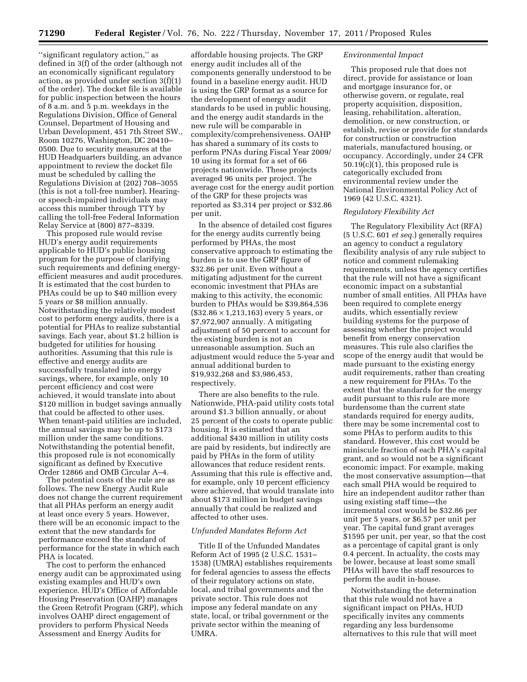''significant regulatory action,'' as defined in 3(f) of the order (although not an economically significant regulatory action, as provided under section 3(f)(1) of the order). The docket file is available for public inspection between the hours of 8 a.m. and 5 p.m. weekdays in the Regulations Division, Office of General Counsel, Department of Housing and Urban Development, 451 7th Street SW., Room 10276, Washington, DC 20410– 0500. Due to security measures at the HUD Headquarters building, an advance appointment to review the docket file must be scheduled by calling the Regulations Division at (202) 708–3055 (this is not a toll-free number). Hearingor speech-impaired individuals may access this number through TTY by calling the toll-free Federal Information Relay Service at (800) 877–8339.

This proposed rule would revise HUD's energy audit requirements applicable to HUD's public housing program for the purpose of clarifying such requirements and defining energyefficient measures and audit procedures. It is estimated that the cost burden to PHAs could be up to \$40 million every 5 years or \$8 million annually. Notwithstanding the relatively modest cost to perform energy audits, there is a potential for PHAs to realize substantial savings. Each year, about \$1.2 billion is budgeted for utilities for housing authorities. Assuming that this rule is effective and energy audits are successfully translated into energy savings, where, for example, only 10 percent efficiency and cost were achieved, it would translate into about \$120 million in budget savings annually that could be affected to other uses. When tenant-paid utilities are included, the annual savings may be up to \$173 million under the same conditions. Notwithstanding the potential benefit, this proposed rule is not economically significant as defined by Executive Order 12866 and OMB Circular A–4.

The potential costs of the rule are as follows. The new Energy Audit Rule does not change the current requirement that all PHAs perform an energy audit at least once every 5 years. However, there will be an economic impact to the extent that the new standards for performance exceed the standard of performance for the state in which each PHA is located.

The cost to perform the enhanced energy audit can be approximated using existing examples and HUD's own experience. HUD's Office of Affordable Housing Preservation (OAHP) manages the Green Retrofit Program (GRP), which involves OAHP direct engagement of providers to perform Physical Needs Assessment and Energy Audits for

affordable housing projects. The GRP energy audit includes all of the components generally understood to be found in a baseline energy audit. HUD is using the GRP format as a source for the development of energy audit standards to be used in public housing, and the energy audit standards in the new rule will be comparable in complexity/comprehensiveness. OAHP has shared a summary of its costs to perform PNAs during Fiscal Year 2009/ 10 using its format for a set of 66 projects nationwide. These projects averaged 96 units per project. The average cost for the energy audit portion of the GRP for these projects was reported as \$3,314 per project or \$32.86 per unit.

In the absence of detailed cost figures for the energy audits currently being performed by PHAs, the most conservative approach to estimating the burden is to use the GRP figure of \$32.86 per unit. Even without a mitigating adjustment for the current economic investment that PHAs are making to this activity, the economic burden to PHAs would be \$39,864,536  $($32.86 \times 1,213,163)$  every 5 years, or \$7,972,907 annually. A mitigating adjustment of 50 percent to account for the existing burden is not an unreasonable assumption. Such an adjustment would reduce the 5-year and annual additional burden to \$19,932,268 and \$3,986,453, respectively.

There are also benefits to the rule. Nationwide, PHA-paid utility costs total around \$1.3 billion annually, or about 25 percent of the costs to operate public housing. It is estimated that an additional \$430 million in utility costs are paid by residents, but indirectly are paid by PHAs in the form of utility allowances that reduce resident rents. Assuming that this rule is effective and, for example, only 10 percent efficiency were achieved, that would translate into about \$173 million in budget savings annually that could be realized and affected to other uses.

#### *Unfunded Mandates Reform Act*

Title II of the Unfunded Mandates Reform Act of 1995 (2 U.S.C. 1531– 1538) (UMRA) establishes requirements for federal agencies to assess the effects of their regulatory actions on state, local, and tribal governments and the private sector. This rule does not impose any federal mandate on any state, local, or tribal government or the private sector within the meaning of UMRA.

#### *Environmental Impact*

This proposed rule that does not direct, provide for assistance or loan and mortgage insurance for, or otherwise govern, or regulate, real property acquisition, disposition, leasing, rehabilitation, alteration, demolition, or new construction, or establish, revise or provide for standards for construction or construction materials, manufactured housing, or occupancy. Accordingly, under 24 CFR 50.19(c)(1), this proposed rule is categorically excluded from environmental review under the National Environmental Policy Act of 1969 (42 U.S.C. 4321).

# *Regulatory Flexibility Act*

The Regulatory Flexibility Act (RFA) (5 U.S.C. 601 *et seq.*) generally requires an agency to conduct a regulatory flexibility analysis of any rule subject to notice and comment rulemaking requirements, unless the agency certifies that the rule will not have a significant economic impact on a substantial number of small entities. All PHAs have been required to complete energy audits, which essentially review building systems for the purpose of assessing whether the project would benefit from energy conservation measures. This rule also clarifies the scope of the energy audit that would be made pursuant to the existing energy audit requirements, rather than creating a new requirement for PHAs. To the extent that the standards for the energy audit pursuant to this rule are more burdensome than the current state standards required for energy audits, there may be some incremental cost to some PHAs to perform audits to this standard. However, this cost would be miniscule fraction of each PHA's capital grant, and so would not be a significant economic impact. For example, making the most conservative assumption—that each small PHA would be required to hire an independent auditor rather than using existing staff time—the incremental cost would be \$32.86 per unit per 5 years, or \$6.57 per unit per year. The capital fund grant averages \$1595 per unit, per year, so that the cost as a percentage of capital grant is only 0.4 percent. In actuality, the costs may be lower, because at least some small PHAs will have the staff resources to perform the audit in-house.

Notwithstanding the determination that this rule would not have a significant impact on PHAs, HUD specifically invites any comments regarding any less burdensome alternatives to this rule that will meet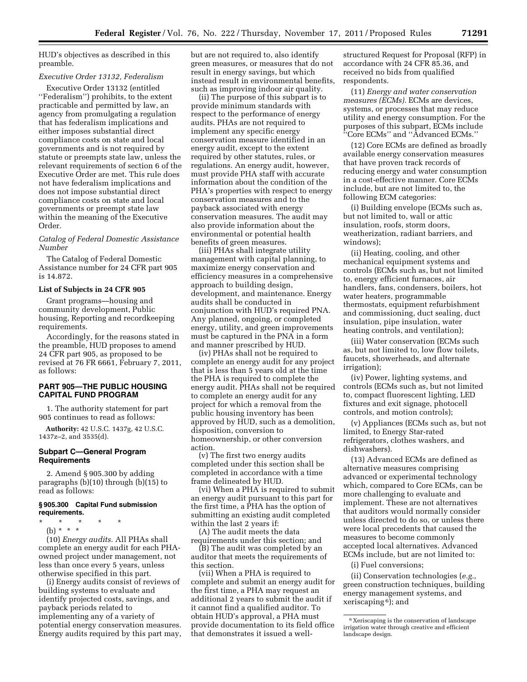HUD's objectives as described in this preamble.

#### *Executive Order 13132, Federalism*

Executive Order 13132 (entitled ''Federalism'') prohibits, to the extent practicable and permitted by law, an agency from promulgating a regulation that has federalism implications and either imposes substantial direct compliance costs on state and local governments and is not required by statute or preempts state law, unless the relevant requirements of section 6 of the Executive Order are met. This rule does not have federalism implications and does not impose substantial direct compliance costs on state and local governments or preempt state law within the meaning of the Executive Order.

#### *Catalog of Federal Domestic Assistance Number*

The Catalog of Federal Domestic Assistance number for 24 CFR part 905 is 14.872.

## **List of Subjects in 24 CFR 905**

Grant programs—housing and community development, Public housing, Reporting and recordkeeping requirements.

Accordingly, for the reasons stated in the preamble, HUD proposes to amend 24 CFR part 905, as proposed to be revised at 76 FR 6661, February 7, 2011, as follows:

## **PART 905—THE PUBLIC HOUSING CAPITAL FUND PROGRAM**

1. The authority statement for part 905 continues to read as follows:

**Authority:** 42 U.S.C. 1437g, 42 U.S.C. 1437z–2, and 3535(d).

# **Subpart C—General Program Requirements**

2. Amend § 905.300 by adding paragraphs (b)(10) through (b)(15) to read as follows:

## **§ 905.300 Capital Fund submission requirements.**

- \* \* \* \* \*
- (b) \* \* \*

(10) *Energy audits.* All PHAs shall complete an energy audit for each PHAowned project under management, not less than once every 5 years, unless otherwise specified in this part.

(i) Energy audits consist of reviews of building systems to evaluate and identify projected costs, savings, and payback periods related to implementing any of a variety of potential energy conservation measures. Energy audits required by this part may, but are not required to, also identify green measures, or measures that do not result in energy savings, but which instead result in environmental benefits, such as improving indoor air quality.

(ii) The purpose of this subpart is to provide minimum standards with respect to the performance of energy audits. PHAs are not required to implement any specific energy conservation measure identified in an energy audit, except to the extent required by other statutes, rules, or regulations. An energy audit, however, must provide PHA staff with accurate information about the condition of the PHA's properties with respect to energy conservation measures and to the payback associated with energy conservation measures. The audit may also provide information about the environmental or potential health benefits of green measures.

(iii) PHAs shall integrate utility management with capital planning, to maximize energy conservation and efficiency measures in a comprehensive approach to building design, development, and maintenance. Energy audits shall be conducted in conjunction with HUD's required PNA. Any planned, ongoing, or completed energy, utility, and green improvements must be captured in the PNA in a form and manner prescribed by HUD.

(iv) PHAs shall not be required to complete an energy audit for any project that is less than 5 years old at the time the PHA is required to complete the energy audit. PHAs shall not be required to complete an energy audit for any project for which a removal from the public housing inventory has been approved by HUD, such as a demolition, disposition, conversion to homeownership, or other conversion action.

(v) The first two energy audits completed under this section shall be completed in accordance with a time frame delineated by HUD.

(vi) When a PHA is required to submit an energy audit pursuant to this part for the first time, a PHA has the option of submitting an existing audit completed within the last 2 years if:

(A) The audit meets the data requirements under this section; and

(B) The audit was completed by an auditor that meets the requirements of this section.

(vii) When a PHA is required to complete and submit an energy audit for the first time, a PHA may request an additional 2 years to submit the audit if it cannot find a qualified auditor. To obtain HUD's approval, a PHA must provide documentation to its field office that demonstrates it issued a well-

structured Request for Proposal (RFP) in accordance with 24 CFR 85.36, and received no bids from qualified respondents.

(11) *Energy and water conservation measures (ECMs).* ECMs are devices, systems, or processes that may reduce utility and energy consumption. For the purposes of this subpart, ECMs include ''Core ECMs'' and ''Advanced ECMs.''

(12) Core ECMs are defined as broadly available energy conservation measures that have proven track records of reducing energy and water consumption in a cost-effective manner. Core ECMs include, but are not limited to, the following ECM categories:

(i) Building envelope (ECMs such as, but not limited to, wall or attic insulation, roofs, storm doors, weatherization, radiant barriers, and windows);

(ii) Heating, cooling, and other mechanical equipment systems and controls (ECMs such as, but not limited to, energy efficient furnaces, air handlers, fans, condensers, boilers, hot water heaters, programmable thermostats, equipment refurbishment and commissioning, duct sealing, duct insulation, pipe insulation, water heating controls, and ventilation);

(iii) Water conservation (ECMs such as, but not limited to, low flow toilets, faucets, showerheads, and alternate irrigation);

(iv) Power, lighting systems, and controls (ECMs such as, but not limited to, compact fluorescent lighting, LED fixtures and exit signage, photocell controls, and motion controls);

(v) Appliances (ECMs such as, but not limited, to Energy Star-rated refrigerators, clothes washers, and dishwashers).

(13) Advanced ECMs are defined as alternative measures comprising advanced or experimental technology which, compared to Core ECMs, can be more challenging to evaluate and implement. These are not alternatives that auditors would normally consider unless directed to do so, or unless there were local precedents that caused the measures to become commonly accepted local alternatives. Advanced ECMs include, but are not limited to:

(i) Fuel conversions;

(ii) Conservation technologies (*e.g.,*  green construction techniques, building energy management systems, and xeriscaping 6); and

<sup>6</sup> Xeriscaping is the conservation of landscape irrigation water through creative and efficient landscape design.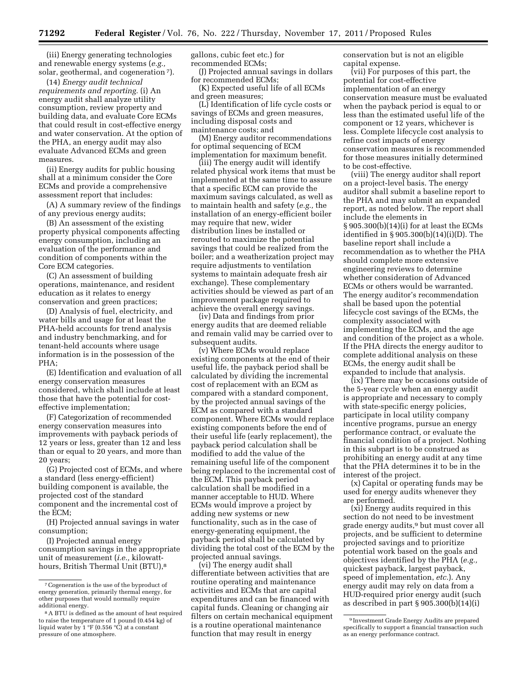(iii) Energy generating technologies and renewable energy systems (*e.g.,*  solar, geothermal, and cogeneration 7).

(14) *Energy audit technical requirements and reporting.* (i) An energy audit shall analyze utility consumption, review property and building data, and evaluate Core ECMs that could result in cost-effective energy and water conservation. At the option of the PHA, an energy audit may also evaluate Advanced ECMs and green measures.

(ii) Energy audits for public housing shall at a minimum consider the Core ECMs and provide a comprehensive assessment report that includes:

(A) A summary review of the findings of any previous energy audits;

(B) An assessment of the existing property physical components affecting energy consumption, including an evaluation of the performance and condition of components within the Core ECM categories.

(C) An assessment of building operations, maintenance, and resident education as it relates to energy conservation and green practices;

(D) Analysis of fuel, electricity, and water bills and usage for at least the PHA-held accounts for trend analysis and industry benchmarking, and for tenant-held accounts where usage information is in the possession of the PHA;

(E) Identification and evaluation of all energy conservation measures considered, which shall include at least those that have the potential for costeffective implementation;

(F) Categorization of recommended energy conservation measures into improvements with payback periods of 12 years or less, greater than 12 and less than or equal to 20 years, and more than 20 years;

(G) Projected cost of ECMs, and where a standard (less energy-efficient) building component is available, the projected cost of the standard component and the incremental cost of the ECM;

(H) Projected annual savings in water consumption;

(I) Projected annual energy consumption savings in the appropriate unit of measurement (*i.e.,* kilowatthours, British Thermal Unit (BTU),<sup>8</sup>

gallons, cubic feet etc.) for recommended ECMs;

(J) Projected annual savings in dollars for recommended ECMs;

(K) Expected useful life of all ECMs and green measures;

(L) Identification of life cycle costs or savings of ECMs and green measures, including disposal costs and maintenance costs; and

(M) Energy auditor recommendations for optimal sequencing of ECM implementation for maximum benefit.

(iii) The energy audit will identify related physical work items that must be implemented at the same time to assure that a specific ECM can provide the maximum savings calculated, as well as to maintain health and safety (*e.g.,* the installation of an energy-efficient boiler may require that new, wider distribution lines be installed or rerouted to maximize the potential savings that could be realized from the boiler; and a weatherization project may require adjustments to ventilation systems to maintain adequate fresh air exchange). These complementary activities should be viewed as part of an improvement package required to achieve the overall energy savings.

(iv) Data and findings from prior energy audits that are deemed reliable and remain valid may be carried over to subsequent audits.

(v) Where ECMs would replace existing components at the end of their useful life, the payback period shall be calculated by dividing the incremental cost of replacement with an ECM as compared with a standard component, by the projected annual savings of the ECM as compared with a standard component. Where ECMs would replace existing components before the end of their useful life (early replacement), the payback period calculation shall be modified to add the value of the remaining useful life of the component being replaced to the incremental cost of the ECM. This payback period calculation shall be modified in a manner acceptable to HUD. Where ECMs would improve a project by adding new systems or new functionality, such as in the case of energy-generating equipment, the payback period shall be calculated by dividing the total cost of the ECM by the projected annual savings.

(vi) The energy audit shall differentiate between activities that are routine operating and maintenance activities and ECMs that are capital expenditures and can be financed with capital funds. Cleaning or changing air filters on certain mechanical equipment is a routine operational maintenance function that may result in energy

conservation but is not an eligible capital expense.

(vii) For purposes of this part, the potential for cost-effective implementation of an energy conservation measure must be evaluated when the payback period is equal to or less than the estimated useful life of the component or 12 years, whichever is less. Complete lifecycle cost analysis to refine cost impacts of energy conservation measures is recommended for those measures initially determined to be cost-effective.

(viii) The energy auditor shall report on a project-level basis. The energy auditor shall submit a baseline report to the PHA and may submit an expanded report, as noted below. The report shall include the elements in § 905.300(b)(14)(i) for at least the ECMs identified in § 905.300(b)(14)(i)(D). The baseline report shall include a recommendation as to whether the PHA should complete more extensive engineering reviews to determine whether consideration of Advanced ECMs or others would be warranted. The energy auditor's recommendation shall be based upon the potential lifecycle cost savings of the ECMs, the complexity associated with implementing the ECMs, and the age and condition of the project as a whole. If the PHA directs the energy auditor to complete additional analysis on these ECMs, the energy audit shall be expanded to include that analysis.

(ix) There may be occasions outside of the 5-year cycle when an energy audit is appropriate and necessary to comply with state-specific energy policies, participate in local utility company incentive programs, pursue an energy performance contract, or evaluate the financial condition of a project. Nothing in this subpart is to be construed as prohibiting an energy audit at any time that the PHA determines it to be in the interest of the project.

(x) Capital or operating funds may be used for energy audits whenever they are performed.

(xi) Energy audits required in this section do not need to be investment grade energy audits,9 but must cover all projects, and be sufficient to determine projected savings and to prioritize potential work based on the goals and objectives identified by the PHA (*e.g.,*  quickest payback, largest payback, speed of implementation, *etc.*). Any energy audit may rely on data from a HUD-required prior energy audit (such as described in part § 905.300(b)(14)(i)

<sup>7</sup>Cogeneration is the use of the byproduct of energy generation, primarily thermal energy, for other purposes that would normally require additional energy.

<sup>8</sup>A BTU is defined as the amount of heat required to raise the temperature of 1 pound (0.454 kg) of liquid water by  $1 \,^{\circ}$ F (0.556  $^{\circ}$ C) at a constant pressure of one atmosphere.

<sup>9</sup> Investment Grade Energy Audits are prepared specifically to support a financial transaction such as an energy performance contract.